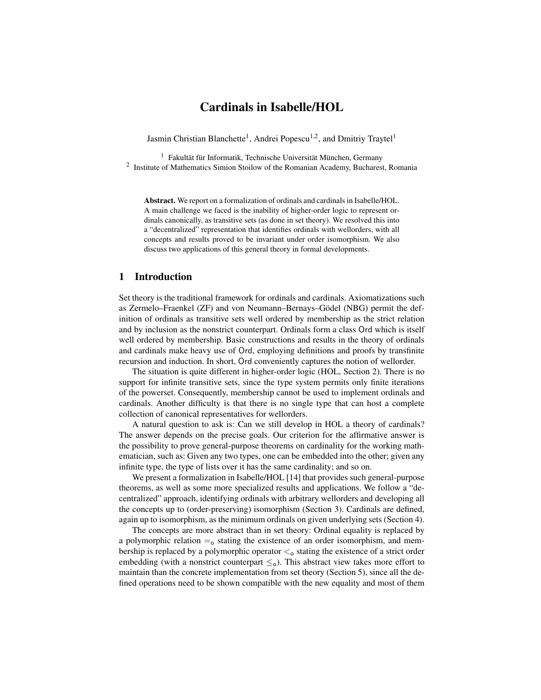# Cardinals in Isabelle/HOL

Jasmin Christian Blanchette<sup>1</sup>, Andrei Popescu<sup>1,2</sup>, and Dmitriy Traytel<sup>1</sup>

<sup>1</sup> Fakultät für Informatik, Technische Universität München, Germany <sup>2</sup> Institute of Mathematics Simion Stoilow of the Romanian Academy, Bucharest, Romania

Abstract. We report on a formalization of ordinals and cardinals in Isabelle/HOL. A main challenge we faced is the inability of higher-order logic to represent ordinals canonically, as transitive sets (as done in set theory). We resolved this into a "decentralized" representation that identifies ordinals with wellorders, with all concepts and results proved to be invariant under order isomorphism. We also discuss two applications of this general theory in formal developments.

# <span id="page-0-0"></span>1 Introduction

Set theory is the traditional framework for ordinals and cardinals. Axiomatizations such as Zermelo–Fraenkel (ZF) and von Neumann–Bernays–Gödel (NBG) permit the definition of ordinals as transitive sets well ordered by membership as the strict relation and by inclusion as the nonstrict counterpart. Ordinals form a class Ord which is itself well ordered by membership. Basic constructions and results in the theory of ordinals and cardinals make heavy use of Ord, employing definitions and proofs by transfinite recursion and induction. In short, Ord conveniently captures the notion of wellorder.

The situation is quite different in higher-order logic (HOL, Section [2\)](#page-2-0). There is no support for infinite transitive sets, since the type system permits only finite iterations of the powerset. Consequently, membership cannot be used to implement ordinals and cardinals. Another difficulty is that there is no single type that can host a complete collection of canonical representatives for wellorders.

A natural question to ask is: Can we still develop in HOL a theory of cardinals? The answer depends on the precise goals. Our criterion for the affirmative answer is the possibility to prove general-purpose theorems on cardinality for the working mathematician, such as: Given any two types, one can be embedded into the other; given any infinite type, the type of lists over it has the same cardinality; and so on.

We present a formalization in Isabelle/HOL [\[14\]](#page-15-0) that provides such general-purpose theorems, as well as some more specialized results and applications. We follow a "decentralized" approach, identifying ordinals with arbitrary wellorders and developing all the concepts up to (order-preserving) isomorphism (Section [3\)](#page-2-1). Cardinals are defined, again up to isomorphism, as the minimum ordinals on given underlying sets (Section [4\)](#page-6-0).

The concepts are more abstract than in set theory: Ordinal equality is replaced by a polymorphic relation  $=_{\text{o}}$  stating the existence of an order isomorphism, and membership is replaced by a polymorphic operator  $\lt o$  stating the existence of a strict order embedding (with a nonstrict counterpart  $\leq_0$ ). This abstract view takes more effort to maintain than the concrete implementation from set theory (Section [5\)](#page-11-0), since all the defined operations need to be shown compatible with the new equality and most of them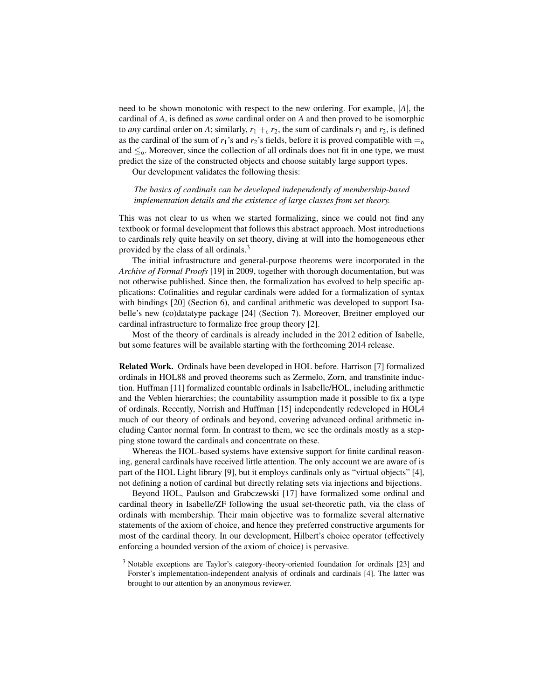need to be shown monotonic with respect to the new ordering. For example, |*A*|, the cardinal of *A*, is defined as *some* cardinal order on *A* and then proved to be isomorphic to *any* cardinal order on *A*; similarly,  $r_1 + c_2$ , the sum of cardinals  $r_1$  and  $r_2$ , is defined as the cardinal of the sum of  $r_1$ 's and  $r_2$ 's fields, before it is proved compatible with  $=_o$ and  $\leq_{\text{o}}$ . Moreover, since the collection of all ordinals does not fit in one type, we must predict the size of the constructed objects and choose suitably large support types.

Our development validates the following thesis:

### *The basics of cardinals can be developed independently of membership-based implementation details and the existence of large classes from set theory.*

This was not clear to us when we started formalizing, since we could not find any textbook or formal development that follows this abstract approach. Most introductions to cardinals rely quite heavily on set theory, diving at will into the homogeneous ether provided by the class of all ordinals.<sup>[3](#page-1-0)</sup>

The initial infrastructure and general-purpose theorems were incorporated in the *Archive of Formal Proofs* [\[19\]](#page-15-1) in 2009, together with thorough documentation, but was not otherwise published. Since then, the formalization has evolved to help specific applications: Cofinalities and regular cardinals were added for a formalization of syntax with bindings [\[20\]](#page-15-2) (Section [6\)](#page-12-0), and cardinal arithmetic was developed to support Isabelle's new (co)datatype package [\[24\]](#page-15-3) (Section [7\)](#page-12-1). Moreover, Breitner employed our cardinal infrastructure to formalize free group theory [\[2\]](#page-14-0).

Most of the theory of cardinals is already included in the 2012 edition of Isabelle, but some features will be available starting with the forthcoming 2014 release.

Related Work. Ordinals have been developed in HOL before. Harrison [\[7\]](#page-15-4) formalized ordinals in HOL88 and proved theorems such as Zermelo, Zorn, and transfinite induction. Huffman [\[11\]](#page-15-5) formalized countable ordinals in Isabelle/HOL, including arithmetic and the Veblen hierarchies; the countability assumption made it possible to fix a type of ordinals. Recently, Norrish and Huffman [\[15\]](#page-15-6) independently redeveloped in HOL4 much of our theory of ordinals and beyond, covering advanced ordinal arithmetic including Cantor normal form. In contrast to them, we see the ordinals mostly as a stepping stone toward the cardinals and concentrate on these.

Whereas the HOL-based systems have extensive support for finite cardinal reasoning, general cardinals have received little attention. The only account we are aware of is part of the HOL Light library [\[9\]](#page-15-7), but it employs cardinals only as "virtual objects" [\[4\]](#page-15-8), not defining a notion of cardinal but directly relating sets via injections and bijections.

Beyond HOL, Paulson and Grabczewski [\[17\]](#page-15-9) have formalized some ordinal and cardinal theory in Isabelle/ZF following the usual set-theoretic path, via the class of ordinals with membership. Their main objective was to formalize several alternative statements of the axiom of choice, and hence they preferred constructive arguments for most of the cardinal theory. In our development, Hilbert's choice operator (effectively enforcing a bounded version of the axiom of choice) is pervasive.

<span id="page-1-0"></span><sup>3</sup> Notable exceptions are Taylor's category-theory-oriented foundation for ordinals [\[23\]](#page-15-10) and Forster's implementation-independent analysis of ordinals and cardinals [\[4\]](#page-15-8). The latter was brought to our attention by an anonymous reviewer.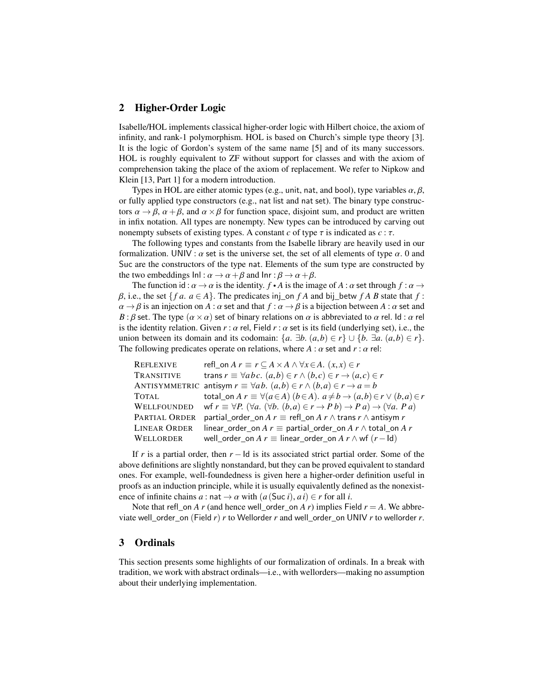# <span id="page-2-0"></span>2 Higher-Order Logic

Isabelle/HOL implements classical higher-order logic with Hilbert choice, the axiom of infinity, and rank-1 polymorphism. HOL is based on Church's simple type theory [\[3\]](#page-15-11). It is the logic of Gordon's system of the same name [\[5\]](#page-15-12) and of its many successors. HOL is roughly equivalent to ZF without support for classes and with the axiom of comprehension taking the place of the axiom of replacement. We refer to Nipkow and Klein [\[13,](#page-15-13) Part 1] for a modern introduction.

Types in HOL are either atomic types (e.g., unit, nat, and bool), type variables  $\alpha$ ,  $\beta$ , or fully applied type constructors (e.g., nat list and nat set). The binary type constructors  $\alpha \to \beta$ ,  $\alpha + \beta$ , and  $\alpha \times \beta$  for function space, disjoint sum, and product are written in infix notation. All types are nonempty. New types can be introduced by carving out nonempty subsets of existing types. A constant  $c$  of type  $\tau$  is indicated as  $c : \tau$ .

The following types and constants from the Isabelle library are heavily used in our formalization. UNIV :  $\alpha$  set is the universe set, the set of all elements of type  $\alpha$ . 0 and Suc are the constructors of the type nat. Elements of the sum type are constructed by the two embeddings  $\text{Inl}: \alpha \to \alpha + \beta$  and  $\text{Inr}: \beta \to \alpha + \beta$ .

The function id :  $\alpha \rightarrow \alpha$  is the identity.  $f \cdot A$  is the image of  $A : \alpha$  set through  $f : \alpha \rightarrow$ β, i.e., the set  $\{fa, a \in A\}$ . The predicates inj\_on *f A* and bij\_betw *f A B* state that *f* :  $\alpha \rightarrow \beta$  is an injection on *A* :  $\alpha$  set and that  $f : \alpha \rightarrow \beta$  is a bijection between *A* :  $\alpha$  set and *B* :  $\beta$  set. The type  $(\alpha \times \alpha)$  set of binary relations on  $\alpha$  is abbreviated to  $\alpha$  rel. Id :  $\alpha$  rel is the identity relation. Given  $r : \alpha$  rel, Field  $r : \alpha$  set is its field (underlying set), i.e., the union between its domain and its codomain:  $\{a, \exists b, (a,b) \in r\} \cup \{b, \exists a, (a,b) \in r\}$ . The following predicates operate on relations, where  $A : \alpha$  set and  $r : \alpha$  rel:

| <b>REFLEXIVE</b>    | refl_on $A r \equiv r \subseteq A \times A \wedge \forall x \in A$ . $(x, x) \in r$                                                        |
|---------------------|--------------------------------------------------------------------------------------------------------------------------------------------|
| TRANSITIVE          | trans $r \equiv \forall abc. (a,b) \in r \wedge (b,c) \in r \rightarrow (a,c) \in r$                                                       |
|                     | ANTISYMMETRIC antisym $r \equiv \forall ab$ . $(a,b) \in r \wedge (b,a) \in r \rightarrow a = b$                                           |
| <b>TOTAL</b>        | total_on $A r \equiv \forall (a \in A) (b \in A)$ . $a \neq b \rightarrow (a, b) \in r \vee (b, a) \in r$                                  |
|                     | WELLFOUNDED wf $r \equiv \forall P$ . $(\forall a. (\forall b. (b,a) \in r \rightarrow P b) \rightarrow P a) \rightarrow (\forall a. P a)$ |
| PARTIAL ORDER       | partial_order_on $A r \equiv \text{refl\_on } A r \wedge \text{trans } r \wedge \text{antisym } r$                                         |
| <b>LINEAR ORDER</b> | linear_order_on A $r \equiv$ partial_order_on A $r \wedge$ total_on A $r$                                                                  |
| WELLORDER           | well_order_on $A r \equiv$ linear_order_on $A r \wedge wf$ $(r-Id)$                                                                        |

If *r* is a partial order, then *r* − Id is its associated strict partial order. Some of the above definitions are slightly nonstandard, but they can be proved equivalent to standard ones. For example, well-foundedness is given here a higher-order definition useful in proofs as an induction principle, while it is usually equivalently defined as the nonexistence of infinite chains  $a : \text{nat} \to \alpha$  with  $(a (\text{Suc } i), ai) \in r$  for all *i*.

Note that refl\_on *A r* (and hence well\_order\_on *A r*) implies Field  $r = A$ . We abbreviate well\_order\_on (Field *r*) *r* to Wellorder *r* and well\_order\_on UNIV *r* to wellorder *r*.

# <span id="page-2-1"></span>3 Ordinals

This section presents some highlights of our formalization of ordinals. In a break with tradition, we work with abstract ordinals—i.e., with wellorders—making no assumption about their underlying implementation.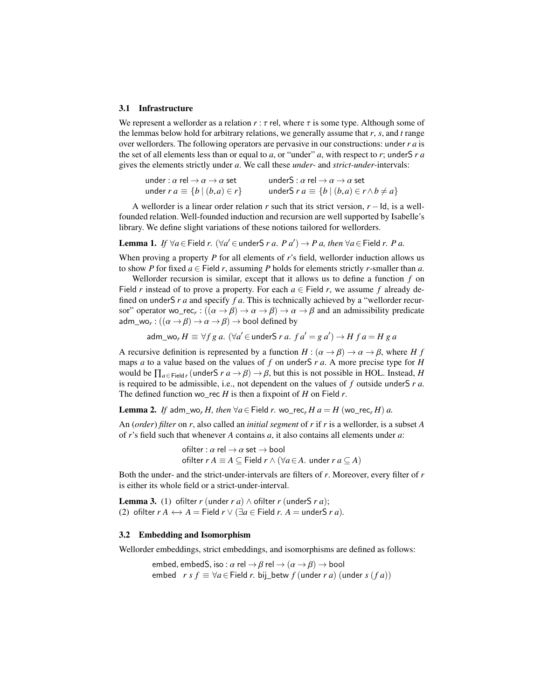#### <span id="page-3-0"></span>3.1 Infrastructure

We represent a wellorder as a relation  $r : \tau$  rel, where  $\tau$  is some type. Although some of the lemmas below hold for arbitrary relations, we generally assume that *r*, *s*, and *t* range over wellorders. The following operators are pervasive in our constructions: under *r a* is the set of all elements less than or equal to *a*, or "under" *a*, with respect to *r*; underS *r a* gives the elements strictly under *a*. We call these *under-* and *strict-under-*intervals:

| under : $\alpha$ rel $\rightarrow \alpha \rightarrow \alpha$ set | underS : $\alpha$ rel $\rightarrow \alpha \rightarrow \alpha$ set |
|------------------------------------------------------------------|-------------------------------------------------------------------|
| under $r a \equiv \{b \mid (b,a) \in r\}$                        | underS $ra \equiv \{b \mid (b,a) \in r \land b \neq a\}$          |
|                                                                  |                                                                   |

A wellorder is a linear order relation *r* such that its strict version, *r* −Id, is a wellfounded relation. Well-founded induction and recursion are well supported by Isabelle's library. We define slight variations of these notions tailored for wellorders.

**Lemma 1.** *If* ∀*a*∈Field *r*. (∀*a'* ∈ underS *r a*. *P a'*) → *P a, then* ∀*a* ∈ Field *r*. *P a.* 

When proving a property *P* for all elements of *r*'s field, wellorder induction allows us to show *P* for fixed  $a \in$  Field *r*, assuming *P* holds for elements strictly *r*-smaller than *a*.

Wellorder recursion is similar, except that it allows us to define a function *f* on Field *r* instead of to prove a property. For each  $a \in$  Field *r*, we assume *f* already defined on underS *r a* and specify *f a*. This is technically achieved by a "wellorder recursor" operator wo\_rec<sub>r</sub>:  $((\alpha \rightarrow \beta) \rightarrow \alpha \rightarrow \beta) \rightarrow \alpha \rightarrow \beta$  and an admissibility predicate  $\mathsf{adm}\_\mathsf{wo}_r:((\alpha\mathbin{\to}\beta)\mathbin{\to}\alpha\mathbin{\to}\beta)\mathbin{\to}\mathsf{bool}$  defined by

adm\_wo<sub>r</sub>  $H \equiv \forall f g a$ .  $(\forall a' \in \text{underS } r a$ .  $f a' = g a') \rightarrow H f a = H g a$ 

A recursive definition is represented by a function  $H : (\alpha \to \beta) \to \alpha \to \beta$ , where *H* f maps *a* to a value based on the values of *f* on underS *r a*. A more precise type for *H* would be  $\prod_{a \in \text{Field } r} (\text{underS } r a \rightarrow \beta) \rightarrow \beta$ , but this is not possible in HOL. Instead, *H* is required to be admissible i.e., not dependent on the values of f outside underS r.a. is required to be admissible, i.e., not dependent on the values of *f* outside underS *r a*. The defined function wo\_rec *H* is then a fixpoint of *H* on Field *r*.

**Lemma 2.** If adm  $w_0$  *H, then*  $\forall a \in$  Field *r*. wo rec<sub>*r*</sub> *H*  $a = H$  (wo rec<sub>*r*</sub> *H*) *a.* 

An (*order*) *filter* on *r*, also called an *initial segment* of *r* if *r* is a wellorder, is a subset *A* of *r*'s field such that whenever *A* contains *a*, it also contains all elements under *a*:

> ofilter :  $\alpha$  rel  $\rightarrow \alpha$  set  $\rightarrow$  bool ofilter *r A* <sup>≡</sup> *<sup>A</sup>* <sup>⊆</sup> Field *<sup>r</sup>* <sup>∧</sup> (∀*a*∈*A*. under *r a* <sup>⊆</sup> *<sup>A</sup>*)

Both the under- and the strict-under-intervals are filters of *r*. Moreover, every filter of *r* is either its whole field or a strict-under-interval.

**Lemma 3.** (1) ofilter *r* (under *r a*)  $\wedge$  ofilter *r* (under S *r a*); (2) ofilter  $r A \leftrightarrow A =$  Field  $r \vee (\exists a \in$  Field  $r. A =$  underS  $r a$ ).

#### <span id="page-3-1"></span>3.2 Embedding and Isomorphism

Wellorder embeddings, strict embeddings, and isomorphisms are defined as follows:

embed, embedS, iso :  $\alpha$  rel  $\rightarrow \beta$  rel  $\rightarrow (\alpha \rightarrow \beta) \rightarrow$  bool embed  $r s f \equiv \forall a \in$  Field *r*. bij\_betw  $f$  (under  $r a$ ) (under  $s (f a)$ )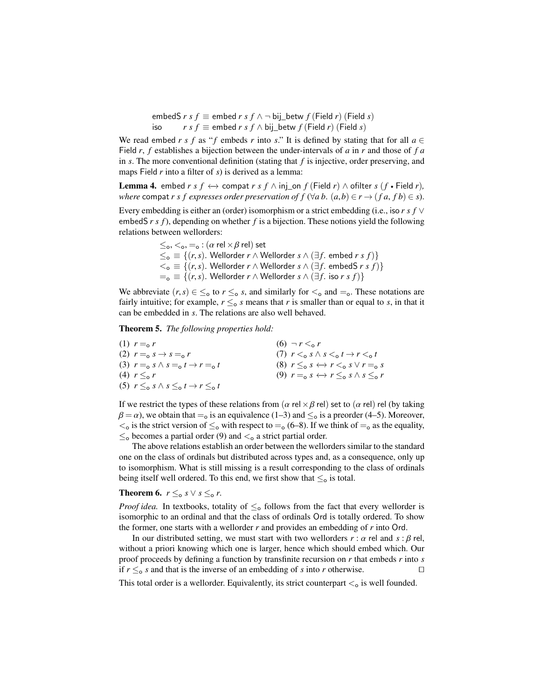embedS *r s*  $f \equiv$  embed *r s*  $f \wedge \neg$  bij\_betw  $f$  (Field *r*) (Field *s*) iso *r s f* ≡ embed *r s f* ∧ bij\_betw *f* (Field *r*) (Field *s*)

We read embed *r s f* as "*f* embeds *r* into *s*." It is defined by stating that for all  $a \in$ Field *r*, *f* establishes a bijection between the under-intervals of *a* in *r* and those of *f a* in *s*. The more conventional definition (stating that *f* is injective, order preserving, and maps Field *r* into a filter of *s*) is derived as a lemma:

**Lemma 4.** embed  $rs f \leftrightarrow$  compat  $rs f \wedge \text{inj}$  on  $f$  (Field  $r$ )  $\wedge$  ofilter  $s (f \cdot \text{Field } r)$ , *where* compat *r s f expresses order preservation of f* ( $\forall a \, b$ ,  $(a,b) \in r \rightarrow (f \, a, f \, b) \in s$ ).

Every embedding is either an (order) isomorphism or a strict embedding (i.e., iso *r s f* ∨ embedS *r s f*), depending on whether *f* is a bijection. These notions yield the following relations between wellorders:

> <span id="page-4-4"></span> $\leq_{\text{o}}, \leq_{\text{o}}, =_{\text{o}} : (\alpha \text{ rel} \times \beta \text{ rel}) \text{ set}$  $\leq$ <sub>o</sub> ≡ {(*r*,*s*). Wellorder *r* ∧ Wellorder *s* ∧ (∃*f*. embed *r s f*)}  $\langle$ <sub>o</sub>  $\equiv$  {(*r*,*s*). Wellorder *r* ∧ Wellorder *s* ∧ (∃*f*. embedS *r s f*)}  $=_{\circ} \equiv \{(r,s)$ . Wellorder  $r \wedge$  Wellorder  $s \wedge (\exists f \in S \land r \land s \land f)\}$

We abbreviate  $(r, s) \in \leq_{\text{o}}$  to  $r \leq_{\text{o}} s$ , and similarly for  $\lt_{\text{o}}$  and  $\equiv_{\text{o}}$ . These notations are fairly intuitive; for example,  $r \leq_0 s$  means that *r* is smaller than or equal to *s*, in that it can be embedded in *s*. The relations are also well behaved.

<span id="page-4-7"></span>Theorem 5. *The following properties hold:*

<span id="page-4-6"></span><span id="page-4-5"></span><span id="page-4-2"></span><span id="page-4-1"></span><span id="page-4-0"></span> $(1)$   $r =_0 r$ (2)  $r = 0$   $s \to s = 0$   $r = 0$ (3)  $r = \alpha s \wedge s = \alpha t \rightarrow r = \alpha t$ (4)  $r \leq_0 r$ (5)  $r \leq o s \wedge s \leq o t \rightarrow r \leq o t$ (6) ¬ *r* ≤<sup>o</sup> *r* (7)  $r <_{\alpha} s \wedge s <_{\alpha} t \rightarrow r <_{\alpha} t$ (8)  $r \leq o \ s \leftrightarrow r \lt o \ s \lor r = o \ s$ (9)  $r = \circ s \leftrightarrow r \leq \circ s \land s \leq \circ r$ 

<span id="page-4-3"></span>If we restrict the types of these relations from ( $\alpha$  rel  $\times \beta$  rel) set to ( $\alpha$  rel) rel (by taking  $\beta = \alpha$ ), we obtain that  $=_{\text{o}}$  is an equivalence [\(1–](#page-4-0)[3\)](#page-4-1) and  $\leq_{\text{o}}$  is a preorder [\(4–](#page-4-2)[5\)](#page-4-3). Moreover,  $\lt$ <sub>o</sub> is the strict version of  $\leq$ <sub>o</sub> with respect to  $=$ <sub>o</sub> [\(6](#page-4-4)[–8\)](#page-4-5). If we think of  $=$ <sub>o</sub> as the equality,  $\leq_{\text{o}}$  becomes a partial order [\(9\)](#page-4-6) and  $\leq_{\text{o}}$  a strict partial order.

The above relations establish an order between the wellorders similar to the standard one on the class of ordinals but distributed across types and, as a consequence, only up to isomorphism. What is still missing is a result corresponding to the class of ordinals being itself well ordered. To this end, we first show that  $\leq_0$  is total.

# <span id="page-4-8"></span>**Theorem 6.**  $r \leq o s \vee s \leq o r$ .

*Proof idea.* In textbooks, totality of  $\leq_{\text{o}}$  follows from the fact that every wellorder is isomorphic to an ordinal and that the class of ordinals Ord is totally ordered. To show the former, one starts with a wellorder *r* and provides an embedding of *r* into Ord.

In our distributed setting, we must start with two wellorders  $r : \alpha$  rel and  $s : \beta$  rel, without a priori knowing which one is larger, hence which should embed which. Our proof proceeds by defining a function by transfinite recursion on *r* that embeds *r* into *s* if  $r \leq_0 s$  and that is the inverse of an embedding of *s* into *r* otherwise.

This total order is a wellorder. Equivalently, its strict counterpart  $\lt_{\text{o}}$  is well founded.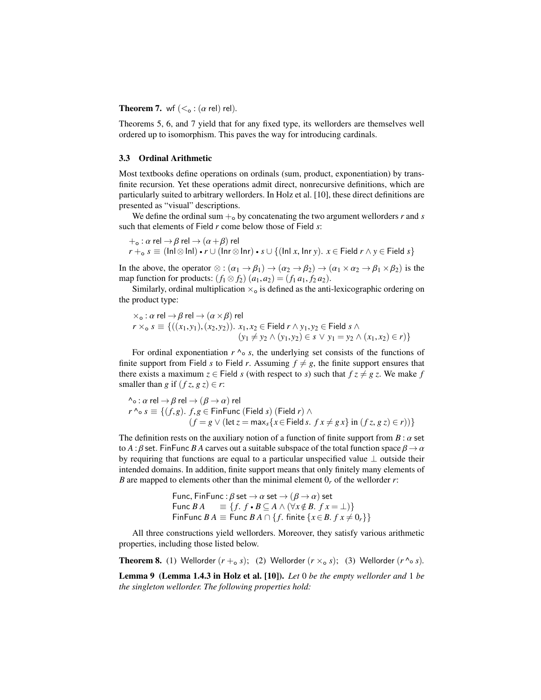<span id="page-5-0"></span>**Theorem 7.** wf  $(<sub>o</sub> : (a rel) rel)$ .

Theorems [5,](#page-4-7) [6,](#page-4-8) and [7](#page-5-0) yield that for any fixed type, its wellorders are themselves well ordered up to isomorphism. This paves the way for introducing cardinals.

#### <span id="page-5-1"></span>3.3 Ordinal Arithmetic

Most textbooks define operations on ordinals (sum, product, exponentiation) by transfinite recursion. Yet these operations admit direct, nonrecursive definitions, which are particularly suited to arbitrary wellorders. In Holz et al. [\[10\]](#page-15-14), these direct definitions are presented as "visual" descriptions.

We define the ordinal sum  $+_o$  by concatenating the two argument wellorders *r* and *s* such that elements of Field *r* come below those of Field *s*:

$$
+_{\circ}: \alpha \text{ rel} \to \beta \text{ rel} \to (\alpha + \beta) \text{ rel}
$$
  

$$
r +_{\circ} s \equiv (\ln |\otimes \ln|) \cdot r \cup (\ln r \otimes \ln r) \cdot s \cup \{ (\ln | x, \ln r y), x \in \text{Field } r \wedge y \in \text{Field } s \}
$$

In the above, the operator  $\otimes$  :  $(\alpha_1 \to \beta_1) \to (\alpha_2 \to \beta_2) \to (\alpha_1 \times \alpha_2 \to \beta_1 \times \beta_2)$  is the map function for products:  $(f_1 \otimes f_2) (a_1, a_2) = (f_1 a_1, f_2 a_2).$ 

Similarly, ordinal multiplication  $\times_{\alpha}$  is defined as the anti-lexicographic ordering on the product type:

 $\times_{\textsf{o}}: \alpha$  rel  $\rightarrow \beta$  rel  $\rightarrow (\alpha \times \beta)$  rel *r* ×<sub>o</sub> *s* ≡ {((*x*<sub>1</sub>, *y*<sub>1</sub>),(*x*<sub>2</sub>, *y*<sub>2</sub>)). *x*<sub>1</sub>, *x*<sub>2</sub> ∈ Field *r* ∧ *y*<sub>1</sub>, *y*<sub>2</sub> ∈ Field *s* ∧  $(y_1 \neq y_2 \land (y_1, y_2) \in s \lor y_1 = y_2 \land (x_1, x_2) \in r)$ 

For ordinal exponentiation  $r \wedge s$ , the underlying set consists of the functions of finite support from Field *s* to Field *r*. Assuming  $f \neq g$ , the finite support ensures that there exists a maximum  $z \in$  Field *s* (with respect to *s*) such that  $f z \neq g z$ . We make *f* smaller than *g* if  $(fz, gz) \in r$ :

$$
\begin{aligned}\n\wedge_0: \alpha \text{ rel} &\to \beta \text{ rel} \to (\beta \to \alpha) \text{ rel} \\
r \wedge_0 s &\equiv \{ (f, g). \ f, g \in \text{FinFunc (Field } s) \ (\text{Field } r) \ \wedge \\
&\quad (f = g \ \vee \ (\text{let } z = \text{max}_s \{ x \in \text{Field } s. \ f \ x \neq g \ x \} \ \text{in } (f z, g \ z) \in r) ) \}\n\end{aligned}
$$

The definition rests on the auxiliary notion of a function of finite support from  $B : \alpha$  set to *A* :  $\beta$  set. FinFunc *B A* carves out a suitable subspace of the total function space  $\beta \rightarrow \alpha$ by requiring that functions are equal to a particular unspecified value ⊥ outside their intended domains. In addition, finite support means that only finitely many elements of *B* are mapped to elements other than the minimal element  $0_r$  of the wellorder  $r$ :

> Func, FinFunc :  $\beta$  set  $\rightarrow \alpha$  set  $\rightarrow (\beta \rightarrow \alpha)$  set Func *BA*  $\equiv \{f: f \cdot B \subseteq A \land (\forall x \notin B, f x = \bot)\}\$ FinFunc *B*  $A \equiv$  Func  $BA \cap \{f$ . finite  $\{x \in B, f x \neq 0_r\}\}$

All three constructions yield wellorders. Moreover, they satisfy various arithmetic properties, including those listed below.

**Theorem 8.** (1) Wellorder  $(r +_0 s)$ ; (2) Wellorder  $(r \times_0 s)$ ; (3) Wellorder  $(r \times_0 s)$ .

Lemma 9 (Lemma 1.4.3 in Holz et al. [\[10\]](#page-15-14)). *Let* 0 *be the empty wellorder and* 1 *be the singleton wellorder. The following properties hold:*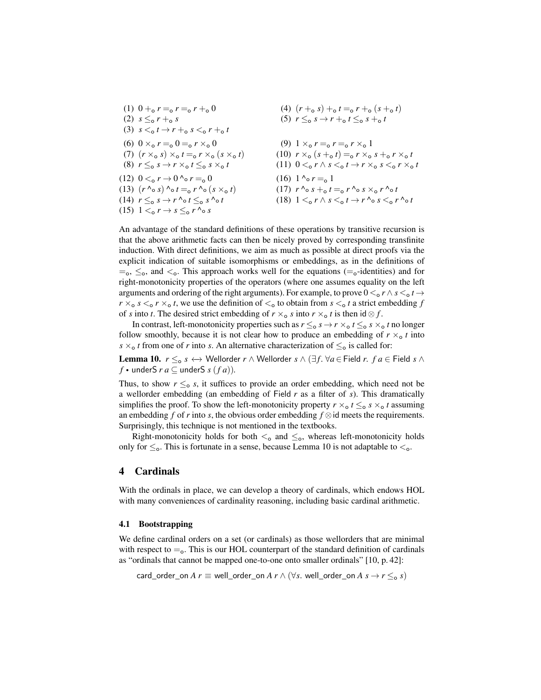(1) 
$$
0+_{0}r =_{0}r =_{0}r +_{0}0
$$
  
\n(2)  $s \leq_{0}r +_{0}s$   
\n(3)  $s <_{0}t \to r +_{0} s <_{0}r +_{0}t$   
\n(4)  $(r +_{0} s) +_{0}t =_{0}r +_{0} (s +_{0}t)$   
\n(5)  $r \leq_{0} s \to r +_{0} t \leq_{0} s +_{0}t$   
\n(6)  $0 \times_{0} r =_{0} 0 =_{0} r \times_{0} 0$   
\n(7)  $(r \times_{0} s) \times_{0} t =_{0} r \times_{0} (s \times_{0} t)$   
\n(8)  $r \leq_{0} s \to r \times_{0} t \leq_{0} s \times_{0} t$   
\n(9)  $1 \times_{0} r =_{0} r =_{0} r \times_{0} 1$   
\n(10)  $r \times_{0} (s +_{0}t) =_{0} r \times_{0} s +_{0} r \times_{0} t$   
\n(11)  $0 <_{0} r \wedge s <_{0} t \to r \times_{0} s <_{0} r \times_{0} t$   
\n(12)  $0 <_{0} r \to 0 \wedge_{0} r =_{0} 0$   
\n(13)  $(r \wedge_{0} s) \wedge_{0} t =_{0} r \wedge_{0} (s \times_{0} t)$   
\n(14)  $r \leq_{0} s \to r \wedge_{0} t \leq_{0} s \wedge_{0} t$   
\n(15)  $1 <_{0} r \to s \leq_{0} r \wedge_{0} s$   
\n(18)  $1 <_{0} r \wedge s <_{0} t \to r \wedge_{0} s <_{0} r \wedge_{0} t$   
\n(19)  $1 <_{0} r \wedge s <_{0} t \to r \wedge_{0} s <_{0} r \wedge_{0} t$   
\n(19)  $1 <_{0} r \wedge s <_{0} t \to r \wedge_{0} s <_{0} r \wedge_{0} t$   
\n(19)  $1 <_{0} r \wedge s <_{0} t \to r \w$ 

An advantage of the standard definitions of these operations by transitive recursion is that the above arithmetic facts can then be nicely proved by corresponding transfinite induction. With direct definitions, we aim as much as possible at direct proofs via the explicit indication of suitable isomorphisms or embeddings, as in the definitions of  $=$ <sub>0</sub>,  $\leq$ <sub>0</sub>, and  $\leq$ <sub>0</sub>. This approach works well for the equations ( $=$ <sub>0</sub>-identities) and for right-monotonicity properties of the operators (where one assumes equality on the left arguments and ordering of the right arguments). For example, to prove  $0 <_{\text{o}} r \wedge s <_{\text{o}} t \rightarrow$  $r \times_{\text{o}} s \leq_{\text{o}} r \times_{\text{o}} t$ , we use the definition of  $\leq_{\text{o}}$  to obtain from  $s \leq_{\text{o}} t$  a strict embedding  $f$ of *s* into *t*. The desired strict embedding of  $r \times_0 s$  into  $r \times_0 t$  is then id  $\otimes f$ .

<span id="page-6-1"></span>In contrast, left-monotonicity properties such as  $r \leq_0 s \to r \times_0 t \leq_0 s \times_0 t$  no longer follow smoothly, because it is not clear how to produce an embedding of  $r \times_0 t$  into *s*  $\times$ <sub>o</sub> *t* from one of *r* into *s*. An alternative characterization of  $\leq$ <sub>o</sub> is called for:

**Lemma 10.**  $r \leq o s \leftrightarrow$  Wellorder  $r \wedge$  Wellorder  $s \wedge (\exists f. \forall a \in$  Field  $r. f a \in$  Field  $s \wedge$ *f* • underS *r a* ⊆ underS *s* (*f a*)).

Thus, to show  $r \leq_0 s$ , it suffices to provide an order embedding, which need not be a wellorder embedding (an embedding of Field *r* as a filter of *s*). This dramatically simplifies the proof. To show the left-monotonicity property  $r \times_0 t \leq_0 s \times_0 t$  assuming an embedding  $f$  of  $r$  into  $s$ , the obvious order embedding  $f \otimes id$  meets the requirements. Surprisingly, this technique is not mentioned in the textbooks.

Right-monotonicity holds for both  $\lt_o$  and  $\leq_o$ , whereas left-monotonicity holds only for  $\leq_{\text{o}}$ . This is fortunate in a sense, because Lemma [10](#page-6-1) is not adaptable to  $\lt_{\text{o}}$ .

# <span id="page-6-0"></span>4 Cardinals

With the ordinals in place, we can develop a theory of cardinals, which endows HOL with many conveniences of cardinality reasoning, including basic cardinal arithmetic.

### 4.1 Bootstrapping

We define cardinal orders on a set (or cardinals) as those wellorders that are minimal with respect to  $=_{\text{o}}$ . This is our HOL counterpart of the standard definition of cardinals as "ordinals that cannot be mapped one-to-one onto smaller ordinals" [\[10,](#page-15-14) p. 42]:

card\_order\_on *A*  $r \equiv$  well\_order\_on *A*  $r \wedge (\forall s$ . well\_order\_on *A*  $s \rightarrow r \leq_{\text{o}} s$ )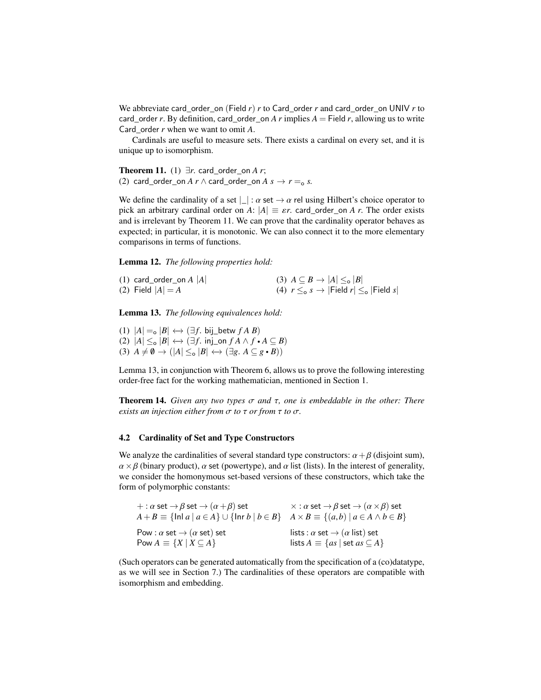We abbreviate card\_order\_on (Field *r*) *r* to Card\_order *r* and card\_order\_on UNIV *r* to card\_order *r*. By definition, card\_order\_on *A r* implies  $A =$  Field *r*, allowing us to write Card\_order *r* when we want to omit *A*.

Cardinals are useful to measure sets. There exists a cardinal on every set, and it is unique up to isomorphism.

<span id="page-7-0"></span>Theorem 11. (1) <sup>∃</sup>*r*. card*\_*order*\_*on *A r*; (2) card\_order\_on *A*  $r \wedge$  card\_order\_on *A*  $s \rightarrow r =_0 s$ .

We define the cardinality of a set  $|\cdot| : \alpha$  set  $\rightarrow \alpha$  rel using Hilbert's choice operator to pick an arbitrary cardinal order on *A*:  $|A| \equiv \varepsilon r$ . card\_order\_on *A r*. The order exists and is irrelevant by Theorem [11.](#page-7-0) We can prove that the cardinality operator behaves as expected; in particular, it is monotonic. We can also connect it to the more elementary comparisons in terms of functions.

Lemma 12. *The following properties hold:*

| (1) card_order_on $A  A $ | (3) $A \subseteq B \rightarrow  A  \leq_{\mathsf{o}}  B $     |
|---------------------------|---------------------------------------------------------------|
| (2) Field $ A =A$         | (4) $r \leq_0 s \rightarrow  $ Field $r  \leq_0$   Field $s $ |

<span id="page-7-1"></span>Lemma 13. *The following equivalences hold:*

(1)  $|A| = \{ |B| \leftrightarrow (\exists f. \text{ bij}\_\text{between } f \land B)$ (2)  $|A| \leq_{\mathsf{o}} |B|$  ←  $(\exists f. \text{ inj\_on } f \land \land f \cdot A \subseteq B)$ (3)  $A \neq \emptyset \rightarrow (|A| \leq_{\text{o}} |B| \leftrightarrow (\exists g. A \subseteq g \cdot B))$ 

Lemma [13,](#page-7-1) in conjunction with Theorem [6,](#page-4-8) allows us to prove the following interesting order-free fact for the working mathematician, mentioned in Section [1.](#page-0-0)

Theorem 14. *Given any two types* σ *and* τ*, one is embeddable in the other: There exists an injection either from* σ *to* τ *or from* τ *to* σ*.*

#### <span id="page-7-2"></span>4.2 Cardinality of Set and Type Constructors

We analyze the cardinalities of several standard type constructors:  $\alpha + \beta$  (disjoint sum),  $\alpha \times \beta$  (binary product),  $\alpha$  set (powertype), and  $\alpha$  list (lists). In the interest of generality, we consider the homonymous set-based versions of these constructors, which take the form of polymorphic constants:

| $+ : \alpha$ set $\rightarrow \beta$ set $\rightarrow (\alpha + \beta)$ set<br>$A + B \equiv \{\ln  a    a \in A\} \cup \{\ln  b    b \in B\}$ $A \times B \equiv \{(a,b)   a \in A \land b \in B\}$ | $\times$ : $\alpha$ set $\rightarrow \beta$ set $\rightarrow (\alpha \times \beta)$ set |
|------------------------------------------------------------------------------------------------------------------------------------------------------------------------------------------------------|-----------------------------------------------------------------------------------------|
| Pow : $\alpha$ set $\rightarrow$ ( $\alpha$ set) set                                                                                                                                                 | lists : $\alpha$ set $\rightarrow$ ( $\alpha$ list) set                                 |
| Pow $A \equiv \{X \mid X \subseteq A\}$                                                                                                                                                              | lists $A \equiv \{as \mid set \text{ as } \subseteq A\}$                                |

(Such operators can be generated automatically from the specification of a (co)datatype, as we will see in Section [7.](#page-12-1)) The cardinalities of these operators are compatible with isomorphism and embedding.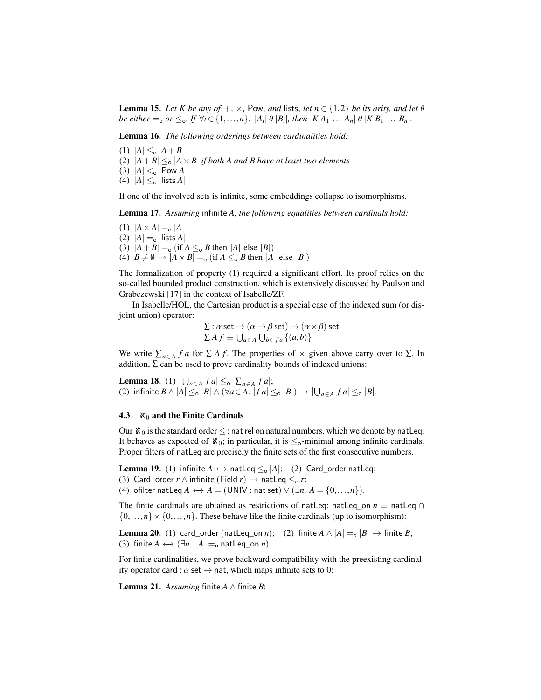**Lemma 15.** *Let K be any of*  $+$ *,*  $\times$ *,* Pow*, and lists, let*  $n \in \{1,2\}$  *be its arity, and let*  $\theta$ *be either*  $=_{o}$  *or*  $\le_{o}$ *. If*  $\forall i \in \{1, ..., n\}$ *.*  $|A_i| \theta |B_i|$ *, then*  $|KA_1 ... A_n| \theta |KB_1 ... B_n|$ *.* 

Lemma 16. *The following orderings between cardinalities hold:*

(1)  $|A| \leq_{\mathsf{o}} |A + B|$ (2)  $|A + B| \leq_{\text{o}} |A \times B|$  *if both A and B have at least two elements* (3)  $|A| <$ <sub>o</sub> |Pow *A*| (4)  $|A| \leq_0$  |lists *A*|

<span id="page-8-1"></span>If one of the involved sets is infinite, some embeddings collapse to isomorphisms.

Lemma 17. *Assuming* infinite *A, the following equalities between cardinals hold:*

<span id="page-8-0"></span>(1)  $|A \times A| =_{o} |A|$ (2)  $|A| = \circ$  |lists *A*| (3)  $|A + B| = o$  (if  $A \leq o B$  then  $|A|$  else  $|B|$ ) (4)  $B \neq \emptyset \rightarrow |A \times B| =_{\text{o}} (\text{if } A \leq_{\text{o}} B \text{ then } |A| \text{ else } |B|)$ 

The formalization of property [\(1\)](#page-8-0) required a significant effort. Its proof relies on the so-called bounded product construction, which is extensively discussed by Paulson and Grabczewski [\[17\]](#page-15-9) in the context of Isabelle/ZF.

In Isabelle/HOL, the Cartesian product is a special case of the indexed sum (or disjoint union) operator:

> $\Sigma: \alpha$  set  $\rightarrow (\alpha \rightarrow \beta \text{ set}) \rightarrow (\alpha \times \beta)$  set  $\sum A f \equiv \bigcup_{a \in A} \bigcup_{b \in fa} \{(a,b)\}\$

We write  $\sum_{a \in A} f a$  for  $\sum A f$ . The properties of  $\times$  given above carry over to  $\sum$ . In addition,  $\Sigma$  can be used to prove cardinality bounds of indexed unions:

**Lemma 18.** (1)  $|\bigcup_{a \in A} f a| \leq \frac{\sum_{a \in A} f a}{i}$ (2) infinite  $B \wedge |A| \leq_0 |B| \wedge (\forall a \in A, |f a| \leq_0 |B|) \rightarrow |\bigcup_{a \in A} f a| \leq_0 |B|$ .

#### 4.3  $\mathcal{R}_0$  and the Finite Cardinals

Our  $\aleph_0$  is the standard order  $\leq$  : nat rel on natural numbers, which we denote by natLeq. It behaves as expected of  $\aleph_0$ ; in particular, it is  $\leq$ -minimal among infinite cardinals. Proper filters of natLeq are precisely the finite sets of the first consecutive numbers.

**Lemma 19.** (1) infinite  $A \leftrightarrow$  natLeq  $\leq_{\text{o}} |A|$ ; (2) Card\_order natLeq; (3) Card\_order  $r \wedge$  infinite (Field  $r$ )  $\rightarrow$  natLeq  $\leq_{\text{o}} r$ ;

(4) ofilter natLeq  $A \leftrightarrow A = (UNIV : nat set) \vee (\exists n. A = \{0, ..., n\}).$ 

The finite cardinals are obtained as restrictions of natLeq: natLeq\_on *n* ≡ natLeq ∩  $\{0,\ldots,n\}\times\{0,\ldots,n\}$ . These behave like the finite cardinals (up to isomorphism):

**Lemma 20.** (1) card\_order (natLeq\_on *n*); (2) finite  $A \wedge |A| = \{0, |B| \rightarrow \text{finite } B;$ (3) finite  $A \leftrightarrow (\exists n. |A| =_{o} n$  natLeq\_on *n*).

For finite cardinalities, we prove backward compatibility with the preexisting cardinality operator card :  $\alpha$  set  $\rightarrow$  nat, which maps infinite sets to 0:

**Lemma 21.** *Assuming* finite  $A \wedge$  finite  $B$ :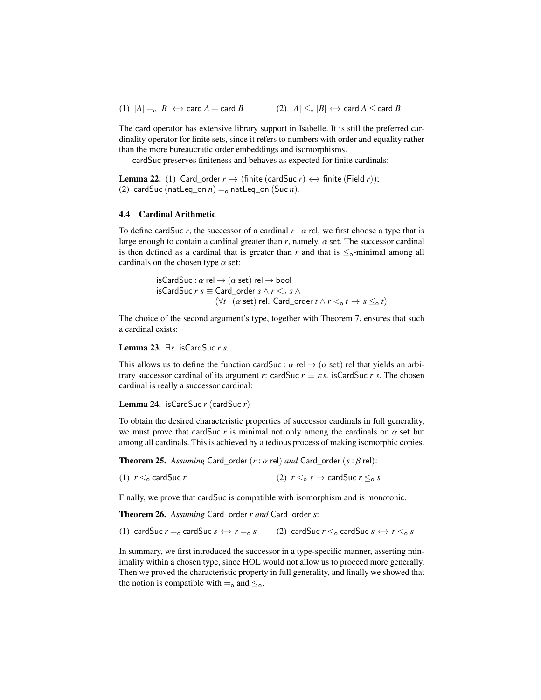(1)  $|A| = \{ |B| \leftrightarrow \text{card } A = \text{card } B$  (2)  $|A| \leq \{ |B| \leftrightarrow \text{card } A \leq \text{card } B \}$ 

The card operator has extensive library support in Isabelle. It is still the preferred cardinality operator for finite sets, since it refers to numbers with order and equality rather than the more bureaucratic order embeddings and isomorphisms.

cardSuc preserves finiteness and behaves as expected for finite cardinals:

**Lemma 22.** (1) Card\_order  $r \to (\text{finite} (\text{card} \text{Suc } r) \leftrightarrow \text{finite} (\text{Field } r));$ (2) cardSuc (natLeq\_on  $n$ ) =<sub>o</sub> natLeq\_on (Suc  $n$ ).

#### <span id="page-9-0"></span>4.4 Cardinal Arithmetic

To define cardSuc *r*, the successor of a cardinal  $r : \alpha$  rel, we first choose a type that is large enough to contain a cardinal greater than  $r$ , namely,  $\alpha$  set. The successor cardinal is then defined as a cardinal that is greater than  $r$  and that is  $\leq_{o}$ -minimal among all cardinals on the chosen type  $\alpha$  set:

> isCardSuc :  $\alpha$  rel  $\rightarrow$   $(\alpha$  set) rel  $\rightarrow$  bool isCardSuc *r s*  $\equiv$  Card\_order *s*  $\land$  *r*  $\lt$ <sub>o</sub> *s*  $\land$  $(\forall t : (\alpha \text{ set}) \text{ rel. Card\_order } t \wedge r <_{\text{o}} t \rightarrow s \leq_{\text{o}} t)$

The choice of the second argument's type, together with Theorem [7,](#page-5-0) ensures that such a cardinal exists:

#### Lemma 23. <sup>∃</sup>*s*. isCardSuc *r s.*

This allows us to define the function cardSuc :  $\alpha$  rel  $\rightarrow (\alpha$  set) rel that yields an arbitrary successor cardinal of its argument *r*: cardSuc  $r \equiv \varepsilon s$ . isCardSuc *r s*. The chosen cardinal is really a successor cardinal:

Lemma 24. isCardSuc *r* (cardSuc *r*)

To obtain the desired characteristic properties of successor cardinals in full generality, we must prove that cardSuc  $r$  is minimal not only among the cardinals on  $\alpha$  set but among all cardinals. This is achieved by a tedious process of making isomorphic copies.

**Theorem 25.** *Assuming* Card\_order  $(r : \alpha \text{ rel})$  *and* Card\_order  $(s : \beta \text{ rel})$ :<br>(1)  $r <_{\alpha}$  cardSuc r (2)  $r <_{\alpha} s \rightarrow$  cardSuc r  $\leq_{\alpha} s$ .

(2)  $r <_{\text{o}} s \rightarrow \text{cardSuc } r \leq_{\text{o}} s$ 

Finally, we prove that cardSuc is compatible with isomorphism and is monotonic.

Theorem 26. *Assuming* Card*\_*order *r and* Card*\_*order *s*:

(1) cardSuc  $r = 0$  cardSuc  $s \leftrightarrow r = 0$  *s* (2) cardSuc  $r < 0$  cardSuc  $s \leftrightarrow r < 0$  *s* 

In summary, we first introduced the successor in a type-specific manner, asserting minimality within a chosen type, since HOL would not allow us to proceed more generally. Then we proved the characteristic property in full generality, and finally we showed that the notion is compatible with  $=_{\circ}$  and  $\leq_{\circ}$ .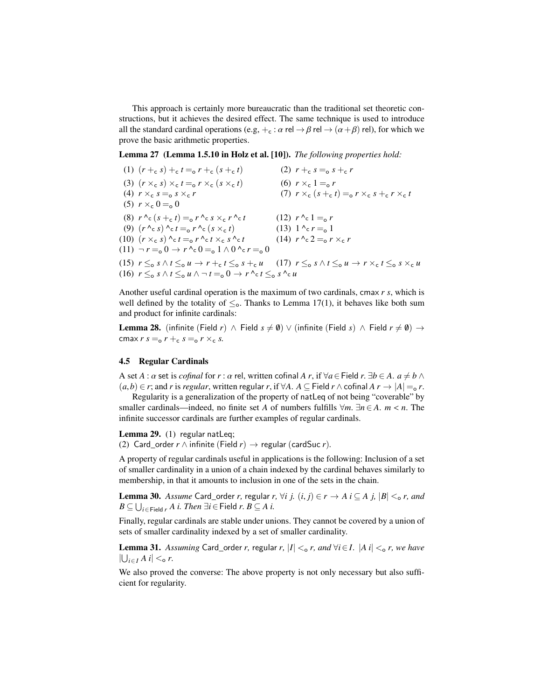This approach is certainly more bureaucratic than the traditional set theoretic constructions, but it achieves the desired effect. The same technique is used to introduce all the standard cardinal operations (e.g,  $+_{c} : \alpha$  rel  $\rightarrow \beta$  rel  $\rightarrow (\alpha + \beta)$  rel), for which we prove the basic arithmetic properties.

Lemma 27 (Lemma 1.5.10 in Holz et al. [\[10\]](#page-15-14)). *The following properties hold:*

(1)  $(r + c) + c \cdot t = 0$   $r + c \cdot (s + c \cdot t)$  (2)  $r + c \cdot s = 0$   $s + c \cdot r$ (3)  $(r \times_c s) \times_c t =_o r \times_c (s \times_c t)$ (4)  $r \times_c s =_0 s \times_c r$ (5)  $r \times_c 0 = 0$ (6)  $r \times_c 1 =_0 r$ (7)  $r \times_c (s +_c t) =_0 r \times_c s +_c r \times_c t$ (8)  $r \wedge c$   $(s + c) = o$   $r \wedge c$   $s \times c$   $r \wedge c$ (9)  $(r \wedge c s) \wedge c t =_0 r \wedge c (s \times_c t)$ (10)  $(r \times_c s) \wedge_c t =_o r \wedge_c t \times_c s \wedge_c t$  $(11)$   $\neg r = 0$   $\rightarrow$   $r \land c 0 = 0$   $1 \land 0 \land c r = 0$  $(12)$   $r \wedge c1 =_0 r$ (13)  $1^{\lambda}$  c  $r = 1$  $(14)$   $r^2c^2 = c^2$   $r \times_c r$ (15)  $r \leq o \ s \wedge t \leq o \ u \to r + c \ t \leq o \ s + c \ u$  (17)  $r \leq o \ s \wedge t \leq o \ u \to r \times c \ t \leq o \ s \times c \ u$ (16)  $r \leq o \ s \wedge t \leq o \ u \wedge \neg t = o \ 0 \rightarrow r \ \wedge \ c \ t \leq o \ s \ \wedge \ c \ u$ 

Another useful cardinal operation is the maximum of two cardinals, cmax *r s*, which is well defined by the totality of  $\leq_{o}$ . Thanks to Lemma [17](#page-8-1)[\(1\)](#page-8-0), it behaves like both sum and product for infinite cardinals:

**Lemma 28.** (infinite (Field *r*) ∧ Field  $s \neq \emptyset$ ) ∨ (infinite (Field *s*) ∧ Field  $r \neq \emptyset$ ) → cmax  $r s =_0 r +_c s =_0 r \times_c s$ .

#### 4.5 Regular Cardinals

A set *A* :  $\alpha$  set is *cofinal* for  $r : \alpha$  rel, written cofinal  $A r$ , if  $\forall a \in \text{Field } r$ .  $\exists b \in A$ .  $a \neq b \land \beta$  $(a,b) \in r$ ; and *r* is *regular*, written regular *r*, if  $\forall A$ . *A* ⊆ Field *r* ∧ cofinal *A*  $r \rightarrow |A| = \infty r$ .

Regularity is a generalization of the property of natLeq of not being "coverable" by smaller cardinals—indeed, no finite set *A* of numbers fulfills  $\forall m$ .  $\exists n \in A$ . *m* < *n*. The infinite successor cardinals are further examples of regular cardinals.

<span id="page-10-1"></span>Lemma 29. (1) regular natLeq;

(2) Card order  $r \wedge$  infinite (Field  $r$ )  $\rightarrow$  regular (cardSuc *r*).

A property of regular cardinals useful in applications is the following: Inclusion of a set of smaller cardinality in a union of a chain indexed by the cardinal behaves similarly to membership, in that it amounts to inclusion in one of the sets in the chain.

<span id="page-10-2"></span>**Lemma 30.** *Assume* Card\_order *r*, regular *r*,  $\forall i$  *j*.  $(i, j) \in r \rightarrow A$  *i*  $\subseteq$  *A j*,  $|B| \leq_{\text{o}} r$ , and *B* ⊆  $\bigcup_{i \in \text{Field } r} A$  *i. Then* ∃*i*∈Field *r. B* ⊆ *A i.* 

Finally, regular cardinals are stable under unions. They cannot be covered by a union of sets of smaller cardinality indexed by a set of smaller cardinality.

<span id="page-10-0"></span>**Lemma 31.** Assuming Card\_order *r*, regular *r*,  $|I| \leq_{\text{o}} r$ , and  $\forall i \in I$ .  $|A| \leq_{\text{o}} r$ , we have  $|$ ∪ $_{i∈I}$  *A*  $i|$  <<sub>o</sub> *r*.

We also proved the converse: The above property is not only necessary but also sufficient for regularity.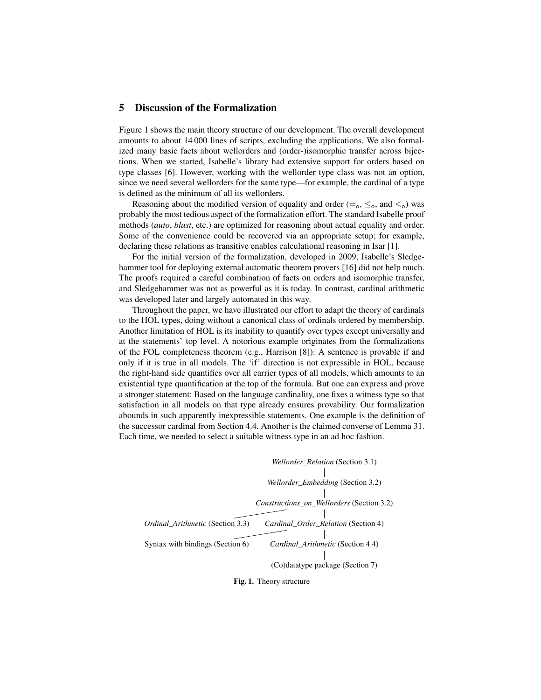# <span id="page-11-0"></span>5 Discussion of the Formalization

Figure [1](#page-11-1) shows the main theory structure of our development. The overall development amounts to about 14 000 lines of scripts, excluding the applications. We also formalized many basic facts about wellorders and (order-)isomorphic transfer across bijections. When we started, Isabelle's library had extensive support for orders based on type classes [\[6\]](#page-15-15). However, working with the wellorder type class was not an option, since we need several wellorders for the same type—for example, the cardinal of a type is defined as the minimum of all its wellorders.

Reasoning about the modified version of equality and order ( $=_o$ ,  $\leq_o$ , and  $\leq_o$ ) was probably the most tedious aspect of the formalization effort. The standard Isabelle proof methods (*auto*, *blast*, etc.) are optimized for reasoning about actual equality and order. Some of the convenience could be recovered via an appropriate setup; for example, declaring these relations as transitive enables calculational reasoning in Isar [\[1\]](#page-14-1).

For the initial version of the formalization, developed in 2009, Isabelle's Sledgehammer tool for deploying external automatic theorem provers [\[16\]](#page-15-16) did not help much. The proofs required a careful combination of facts on orders and isomorphic transfer, and Sledgehammer was not as powerful as it is today. In contrast, cardinal arithmetic was developed later and largely automated in this way.

Throughout the paper, we have illustrated our effort to adapt the theory of cardinals to the HOL types, doing without a canonical class of ordinals ordered by membership. Another limitation of HOL is its inability to quantify over types except universally and at the statements' top level. A notorious example originates from the formalizations of the FOL completeness theorem (e.g., Harrison [\[8\]](#page-15-17)): A sentence is provable if and only if it is true in all models. The 'if' direction is not expressible in HOL, because the right-hand side quantifies over all carrier types of all models, which amounts to an existential type quantification at the top of the formula. But one can express and prove a stronger statement: Based on the language cardinality, one fixes a witness type so that satisfaction in all models on that type already ensures provability. Our formalization abounds in such apparently inexpressible statements. One example is the definition of the successor cardinal from Section [4.4.](#page-9-0) Another is the claimed converse of Lemma [31.](#page-10-0) Each time, we needed to select a suitable witness type in an ad hoc fashion.

|                                         | Wellorder Relation (Section 3.1)                 |
|-----------------------------------------|--------------------------------------------------|
|                                         |                                                  |
|                                         | <i>Wellorder_Embedding</i> (Section 3.2)         |
|                                         |                                                  |
|                                         | <i>Constructions on Wellorders</i> (Section 3.2) |
|                                         |                                                  |
| <i>Ordinal_Arithmetic</i> (Section 3.3) | Cardinal Order Relation (Section 4)              |
|                                         |                                                  |
| Syntax with bindings (Section 6)        | <i>Cardinal Arithmetic</i> (Section 4.4)         |
|                                         |                                                  |
|                                         | (Co)datatype package (Section 7)                 |
|                                         |                                                  |

<span id="page-11-1"></span>Fig. 1. Theory structure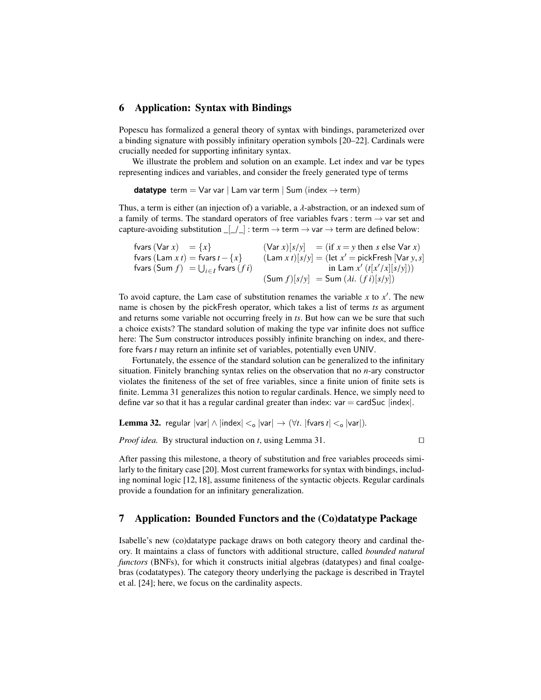# <span id="page-12-0"></span>6 Application: Syntax with Bindings

Popescu has formalized a general theory of syntax with bindings, parameterized over a binding signature with possibly infinitary operation symbols [\[20](#page-15-2)[–22\]](#page-15-18). Cardinals were crucially needed for supporting infinitary syntax.

We illustrate the problem and solution on an example. Let index and var be types representing indices and variables, and consider the freely generated type of terms

**datatype** term = Var var | Lam var term | Sum (index  $\rightarrow$  term)

Thus, a term is either (an injection of) a variable, a  $\lambda$ -abstraction, or an indexed sum of a family of terms. The standard operators of free variables fvars : term  $\rightarrow$  var set and capture-avoiding substitution  $\lfloor \rfloor \rfloor$  : term  $\rightarrow$  term  $\rightarrow$  var  $\rightarrow$  term are defined below:

```
fvars (\text{Var } x) = \{x\} (\text{Var } x)[s/y] = (\text{if } x = y \text{ then } s \text{ else } \text{Var } x)<br>fvars (\text{Var } x) = \text{fvars } t - \{x\} (\text{Var } x)(s/y) = (\text{let } x' - \text{pick } \text{Fresh } \text{Nary } y)fvars (\text{Lam } x t) = \text{fvars } t - \{x\} (\text{Lam } x t)[s/y] = (\text{let } x' = \text{pick} \text{Fresh } [\text{Var } y, s]<br>fvars (\text{Sum } f) = \bigcup_{i \in I} \text{fvars } (fi) (\text{Sum } f)[s/y] = \text{Sum } (it \cdot (fi)[s/y])(\textsf{Sum } f)[s/y] = \textsf{Sum}(\lambda i. (f\,i)[s/y])
```
To avoid capture, the Lam case of substitution renames the variable  $x$  to  $x'$ . The new name is chosen by the pickFresh operator, which takes a list of terms *ts* as argument and returns some variable not occurring freely in *ts*. But how can we be sure that such a choice exists? The standard solution of making the type var infinite does not suffice here: The Sum constructor introduces possibly infinite branching on index, and therefore fvars *t* may return an infinite set of variables, potentially even UNIV.

Fortunately, the essence of the standard solution can be generalized to the infinitary situation. Finitely branching syntax relies on the observation that no *n*-ary constructor violates the finiteness of the set of free variables, since a finite union of finite sets is finite. Lemma [31](#page-10-0) generalizes this notion to regular cardinals. Hence, we simply need to define var so that it has a regular cardinal greater than index:  $var = cardSuc$  |index|.

**Lemma 32.** regular  $|var| \wedge |index| <sub>o</sub> |var| \rightarrow (\forall t$ . |fvars *t*|  $\lt_{o} |var|$ ).

*Proof idea.* By structural induction on *t*, using Lemma [31.](#page-10-0)  $\Box$ 

After passing this milestone, a theory of substitution and free variables proceeds similarly to the finitary case [\[20\]](#page-15-2). Most current frameworks for syntax with bindings, including nominal logic [\[12,](#page-15-19) [18\]](#page-15-20), assume finiteness of the syntactic objects. Regular cardinals provide a foundation for an infinitary generalization.

# <span id="page-12-1"></span>7 Application: Bounded Functors and the (Co)datatype Package

Isabelle's new (co)datatype package draws on both category theory and cardinal theory. It maintains a class of functors with additional structure, called *bounded natural functors* (BNFs), for which it constructs initial algebras (datatypes) and final coalgebras (codatatypes). The category theory underlying the package is described in Traytel et al. [\[24\]](#page-15-3); here, we focus on the cardinality aspects.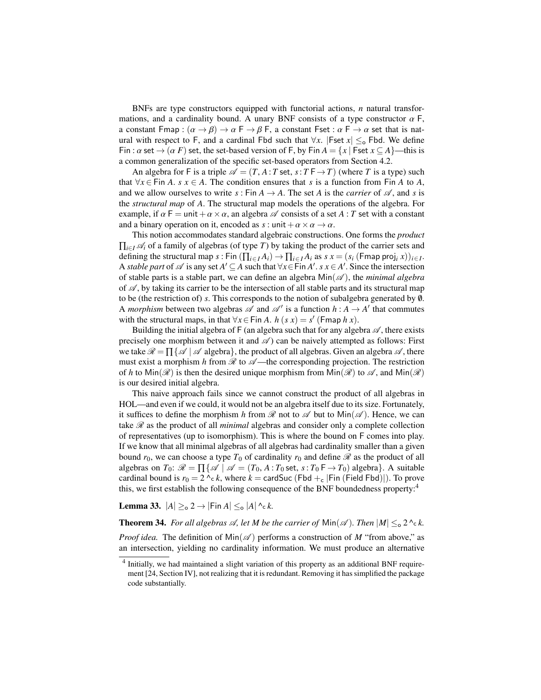BNFs are type constructors equipped with functorial actions, *n* natural transformations, and a cardinality bound. A unary BNF consists of a type constructor  $\alpha$  F, a constant Fmap :  $(\alpha \to \beta) \to \alpha$  F  $\to \beta$  F, a constant Fset :  $\alpha$  F  $\to \alpha$  set that is natural with respect to F, and a cardinal Fbd such that  $\forall x$ . |Fset  $x \leq o$  Fbd. We define Fin :  $\alpha$  set  $\rightarrow$  ( $\alpha$  *F*) set, the set-based version of F, by Fin  $A = \{x \mid$  Fset  $x \subseteq A\}$ —this is a common generalization of the specific set-based operators from Section [4.2.](#page-7-2)

An algebra for F is a triple  $\mathscr{A} = (T, A : T \text{ set}, s : T \to T)$  (where T is a type) such that ∀*x* ∈ Fin *A*. *s x* ∈ *A*. The condition ensures that *s* is a function from Fin *A* to *A*, and we allow ourselves to write  $s : \text{Fin } A \to A$ . The set *A* is the *carrier* of  $\mathscr{A}$ , and *s* is the *structural map* of *A*. The structural map models the operations of the algebra. For example, if  $\alpha F = \text{unit} + \alpha \times \alpha$ , an algebra  $\mathscr A$  consists of a set A : T set with a constant and a binary operation on it, encoded as  $s : \text{unit} + \alpha \times \alpha \rightarrow \alpha$ .

This notion accommodates standard algebraic constructions. One forms the *product*  $\prod_{i \in I} A_i$  of a family of algebras (of type *T*) by taking the product of the carrier sets and defining the structural map  $s : \text{Fin } (\prod_{i \in I} A_i) \to \prod_{i \in I} A_i$  as  $s x = (s_i \text{ (Fmap proj}_i x))_{i \in I}$ . A *stable part* of  $\mathscr A$  is any set  $A' \subseteq A$  such that  $\forall x \in \text{Fin } A'$ .  $s x \in A'$ . Since the intersection of stable parts is a stable part, we can define an algebra  $\text{Min}(\mathscr A)$ , the *minimal algebra* of stable parts is a stable part, we can define an algebra  $Min(\mathcal{A})$ , the *minimal algebra* of  $\mathscr A$ , by taking its carrier to be the intersection of all stable parts and its structural map to be (the restriction of) *s*. This corresponds to the notion of subalgebra generated by /0. A *morphism* between two algebras  $\mathscr A$  and  $\mathscr A'$  is a function  $h : A \to A'$  that commutes with the structural maps, in that  $\forall x \in \text{Fin } A$ . *h* (*s x*) = *s'* (Fmap *h x*).<br>Building the initial algebra of E (an algebra such that for any alge

Building the initial algebra of  $F$  (an algebra such that for any algebra  $\mathscr{A}$ , there exists precisely one morphism between it and  $\mathscr A$ ) can be naively attempted as follows: First we take  $\mathcal{R} = \prod {\mathcal{A} \mid \mathcal{A}}$  algebra, the product of all algebras. Given an algebra  $\mathcal{A}$ , there must exist a morphism *h* from  $\mathcal R$  to  $\mathcal A$ —the corresponding projection. The restriction of *h* to Min( $\mathscr{R}$ ) is then the desired unique morphism from Min( $\mathscr{R}$ ) to  $\mathscr{A}$ , and Min( $\mathscr{R}$ ) is our desired initial algebra.

This naive approach fails since we cannot construct the product of all algebras in HOL—and even if we could, it would not be an algebra itself due to its size. Fortunately, it suffices to define the morphism *h* from  $\mathcal{R}$  not to  $\mathcal{A}$  but to Min( $\mathcal{A}$ ). Hence, we can take  $\mathscr R$  as the product of all *minimal* algebras and consider only a complete collection of representatives (up to isomorphism). This is where the bound on F comes into play. If we know that all minimal algebras of all algebras had cardinality smaller than a given bound  $r_0$ , we can choose a type  $T_0$  of cardinality  $r_0$  and define  $\mathscr R$  as the product of all algebras on  $T_0$ :  $\mathscr{R} = \prod \{ \mathscr{A} \mid \mathscr{A} = (T_0, A : T_0 \text{ set}, s : T_0 \mathsf{F} \to T_0) \text{ algebra} \}.$  A suitable cardinal bound is  $r_0 = 2 \lambda_c k$ , where  $k = \text{card}S$ uc (Fbd  $+\infty$  |Fin (Field Fbd)|). To prove this, we first establish the following consequence of the BNF boundedness property:<sup>[4](#page-13-0)</sup>

<span id="page-13-1"></span>**Lemma 33.**  $|A| \geq 2 \rightarrow |\text{Fin } A| \leq 2$   $|A| \sim c k$ .

**Theorem 34.** For all algebras  $\mathscr A$ , let M be the carrier of  $\text{Min}(\mathscr A)$ . Then  $|M| \leq_0 2 \wedge_{\mathsf C} k$ .

*Proof idea.* The definition of  $\text{Min}(\mathscr{A})$  performs a construction of M "from above," as an intersection, yielding no cardinality information. We must produce an alternative

<span id="page-13-0"></span><sup>&</sup>lt;sup>4</sup> Initially, we had maintained a slight variation of this property as an additional BNF requirement [\[24,](#page-15-3) Section IV], not realizing that it is redundant. Removing it has simplified the package code substantially.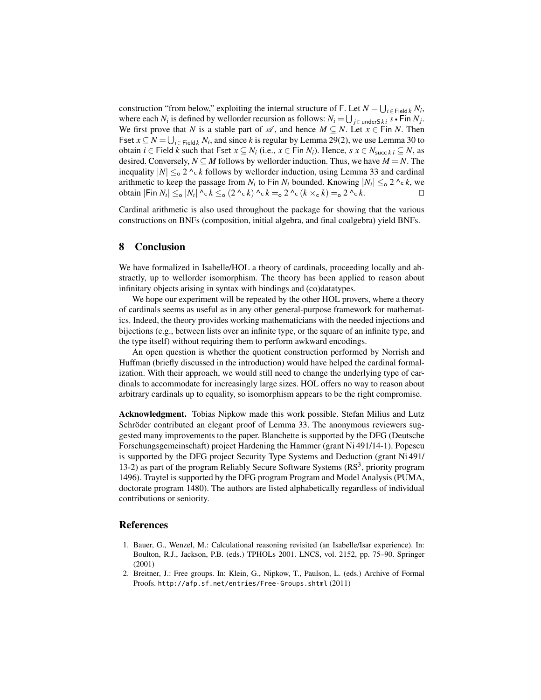construction "from below," exploiting the internal structure of F. Let  $N = \bigcup_{i \in \text{Field } k} N_i$ , where each  $N_i$  is defined by wellorder recursion as follows:  $N_i = \bigcup_{j \in \text{underS} k_i} s \cdot \text{Fin } N_j$ . We first prove that *N* is a stable part of  $\mathscr A$ , and hence  $M \subseteq N$ . Let  $x \in \text{Fin } N$ . Then Fset  $x \subseteq N = \bigcup_{i \in \text{Field } k} N_i$ , and since *k* is regular by Lemma [29\(](#page-10-1)2), we use Lemma [30](#page-10-2) to obtain *i* ∈ Field *k* such that Fset  $x \subseteq N_i$  (i.e.,  $x \in \text{Fin } N_i$ ). Hence,  $s x \in N_{\text{succ } k i} \subseteq N$ , as desired. Conversely,  $N \subseteq M$  follows by wellorder induction. Thus, we have  $M = N$ . The inequality  $|N| \leq_0 2 \lambda_c k$  follows by wellorder induction, using Lemma [33](#page-13-1) and cardinal arithmetic to keep the passage from  $N_i$  to Fin  $N_i$  bounded. Knowing  $|N_i| \leq o$  2 ^c *k*, we obtain  $|Fin N_i| \leq_o |N_i| \wedge c \cdot k \leq_o (2 \wedge c \cdot k) \wedge c \cdot k =_o 2 \wedge c \cdot (k \times_c k) =_o 2 \wedge c \cdot k.$ 

Cardinal arithmetic is also used throughout the package for showing that the various constructions on BNFs (composition, initial algebra, and final coalgebra) yield BNFs.

# 8 Conclusion

We have formalized in Isabelle/HOL a theory of cardinals, proceeding locally and abstractly, up to wellorder isomorphism. The theory has been applied to reason about infinitary objects arising in syntax with bindings and (co)datatypes.

We hope our experiment will be repeated by the other HOL provers, where a theory of cardinals seems as useful as in any other general-purpose framework for mathematics. Indeed, the theory provides working mathematicians with the needed injections and bijections (e.g., between lists over an infinite type, or the square of an infinite type, and the type itself) without requiring them to perform awkward encodings.

An open question is whether the quotient construction performed by Norrish and Huffman (briefly discussed in the introduction) would have helped the cardinal formalization. With their approach, we would still need to change the underlying type of cardinals to accommodate for increasingly large sizes. HOL offers no way to reason about arbitrary cardinals up to equality, so isomorphism appears to be the right compromise.

Acknowledgment. Tobias Nipkow made this work possible. Stefan Milius and Lutz Schröder contributed an elegant proof of Lemma [33.](#page-13-1) The anonymous reviewers suggested many improvements to the paper. Blanchette is supported by the DFG (Deutsche Forschungsgemeinschaft) project Hardening the Hammer (grant Ni 491/14-1). Popescu is supported by the DFG project Security Type Systems and Deduction (grant Ni 491/ 13-2) as part of the program Reliably Secure Software Systems  $(RS<sup>3</sup>,$  priority program 1496). Traytel is supported by the DFG program Program and Model Analysis (PUMA, doctorate program 1480). The authors are listed alphabetically regardless of individual contributions or seniority.

# References

- <span id="page-14-1"></span>1. Bauer, G., Wenzel, M.: Calculational reasoning revisited (an Isabelle/Isar experience). In: Boulton, R.J., Jackson, P.B. (eds.) TPHOLs 2001. LNCS, vol. 2152, pp. 75–90. Springer (2001)
- <span id="page-14-0"></span>2. Breitner, J.: Free groups. In: Klein, G., Nipkow, T., Paulson, L. (eds.) Archive of Formal Proofs. <http://afp.sf.net/entries/Free-Groups.shtml> (2011)